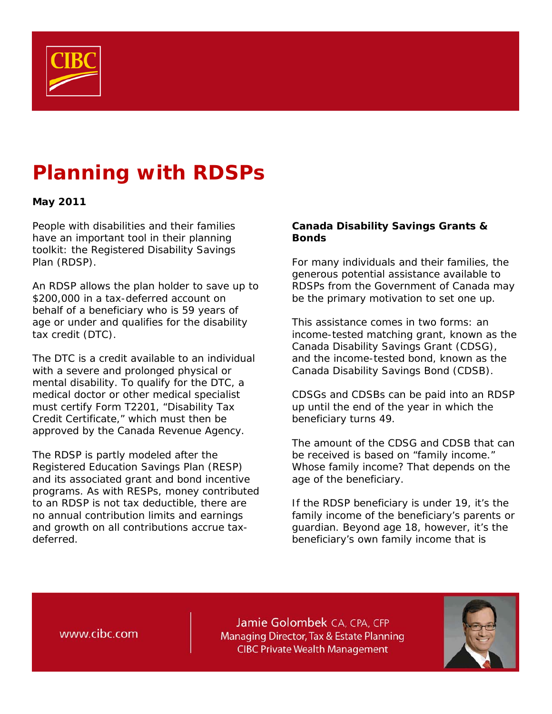

# **Planning with RDSPs**

## **May 2011**

People with disabilities and their families have an important tool in their planning toolkit: the Registered Disability Savings Plan (RDSP).

An RDSP allows the plan holder to save up to \$200,000 in a tax-deferred account on behalf of a beneficiary who is 59 years of age or under and qualifies for the disability tax credit (DTC).

The DTC is a credit available to an individual with a severe and prolonged physical or mental disability. To qualify for the DTC, a medical doctor or other medical specialist must certify Form T2201, "Disability Tax Credit Certificate," which must then be approved by the Canada Revenue Agency.

The RDSP is partly modeled after the Registered Education Savings Plan (RESP) and its associated grant and bond incentive programs. As with RESPs, money contributed to an RDSP is not tax deductible, there are no annual contribution limits and earnings and growth on all contributions accrue taxdeferred.

### **Canada Disability Savings Grants & Bonds**

For many individuals and their families, the generous potential assistance available to RDSPs from the Government of Canada may be the primary motivation to set one up.

This assistance comes in two forms: an income-tested matching grant, known as the Canada Disability Savings Grant (CDSG), and the income-tested bond, known as the Canada Disability Savings Bond (CDSB).

CDSGs and CDSBs can be paid into an RDSP up until the end of the year in which the beneficiary turns 49.

The amount of the CDSG and CDSB that can be received is based on "family income." Whose family income? That depends on the age of the beneficiary.

If the RDSP beneficiary is under 19, it's the family income of the beneficiary's parents or guardian. Beyond age 18, however, it's the beneficiary's own family income that is

www.cibc.com

Jamie Golombek CA, CPA, CFP Managing Director, Tax & Estate Planning **CIBC Private Wealth Management** 

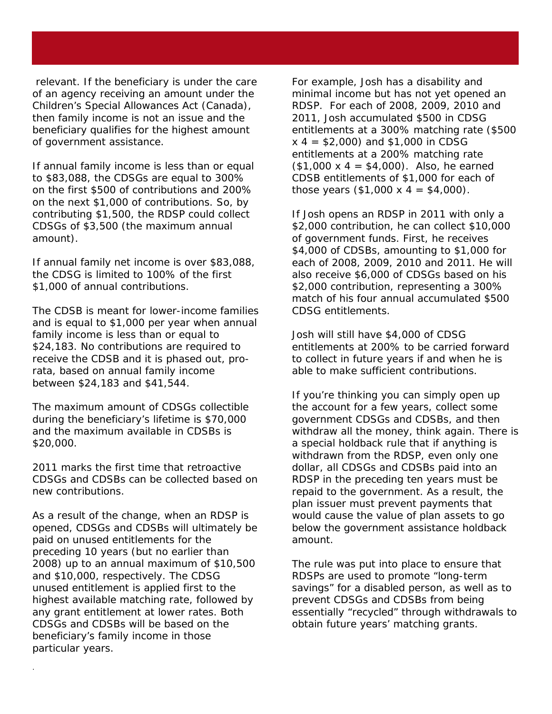relevant. If the beneficiary is under the care of an agency receiving an amount under the Children's Special Allowances Act (Canada), then family income is not an issue and the beneficiary qualifies for the highest amount of government assistance.

If annual family income is less than or equal to \$83,088, the CDSGs are equal to 300% on the first \$500 of contributions and 200% on the next \$1,000 of contributions. So, by contributing \$1,500, the RDSP could collect CDSGs of \$3,500 (the maximum annual amount).

If annual family net income is over \$83,088, the CDSG is limited to 100% of the first \$1,000 of annual contributions.

The CDSB is meant for lower-income families and is equal to \$1,000 per year when annual family income is less than or equal to \$24,183. No contributions are required to receive the CDSB and it is phased out, prorata, based on annual family income between \$24,183 and \$41,544.

The maximum amount of CDSGs collectible during the beneficiary's lifetime is \$70,000 and the maximum available in CDSBs is \$20,000.

2011 marks the first time that retroactive CDSGs and CDSBs can be collected based on new contributions.

As a result of the change, when an RDSP is opened, CDSGs and CDSBs will ultimately be paid on unused entitlements for the preceding 10 years (but no earlier than 2008) up to an annual maximum of \$10,500 and \$10,000, respectively. The CDSG unused entitlement is applied first to the highest available matching rate, followed by any grant entitlement at lower rates. Both CDSGs and CDSBs will be based on the beneficiary's family income in those particular years.

.

For example, Josh has a disability and minimal income but has not yet opened an RDSP. For each of 2008, 2009, 2010 and 2011, Josh accumulated \$500 in CDSG entitlements at a 300% matching rate (\$500  $x$  4 = \$2,000) and \$1,000 in CDSG entitlements at a 200% matching rate  $($1,000 \times 4 = $4,000)$ . Also, he earned CDSB entitlements of \$1,000 for each of those years  $($1,000 \times 4 = $4,000)$ .

If Josh opens an RDSP in 2011 with only a \$2,000 contribution, he can collect \$10,000 of government funds. First, he receives \$4,000 of CDSBs, amounting to \$1,000 for each of 2008, 2009, 2010 and 2011. He will also receive \$6,000 of CDSGs based on his \$2,000 contribution, representing a 300% match of his four annual accumulated \$500 CDSG entitlements.

Josh will still have \$4,000 of CDSG entitlements at 200% to be carried forward to collect in future years if and when he is able to make sufficient contributions.

If you're thinking you can simply open up the account for a few years, collect some government CDSGs and CDSBs, and then withdraw all the money, think again. There is a special holdback rule that if anything is withdrawn from the RDSP, even only one dollar, all CDSGs and CDSBs paid into an RDSP in the preceding ten years must be repaid to the government. As a result, the plan issuer must prevent payments that would cause the value of plan assets to go below the government assistance holdback amount.

The rule was put into place to ensure that RDSPs are used to promote "long-term savings" for a disabled person, as well as to prevent CDSGs and CDSBs from being essentially "recycled" through withdrawals to obtain future years' matching grants.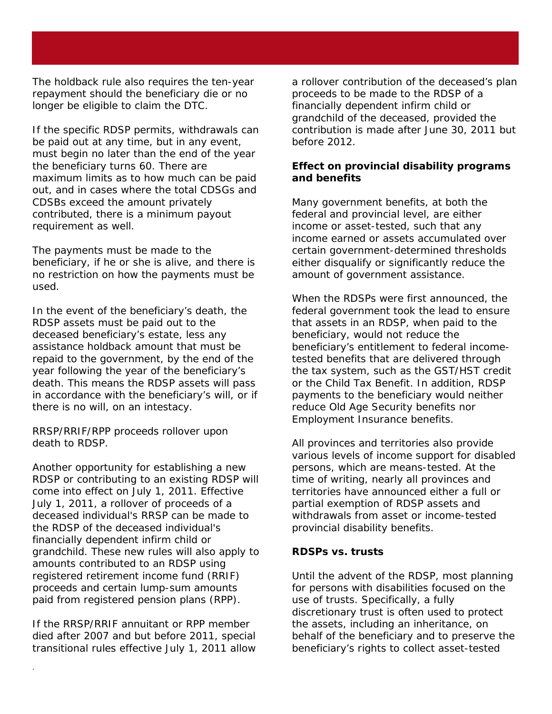The holdback rule also requires the ten-year repayment should the beneficiary die or no longer be eligible to claim the DTC.

If the specific RDSP permits, withdrawals can be paid out at any time, but in any event, must begin no later than the end of the year the beneficiary turns 60. There are maximum limits as to how much can be paid out, and in cases where the total CDSGs and CDSBs exceed the amount privately contributed, there is a minimum payout requirement as well.

The payments must be made to the beneficiary, if he or she is alive, and there is no restriction on how the payments must be used.

In the event of the beneficiary's death, the RDSP assets must be paid out to the deceased beneficiary's estate, less any assistance holdback amount that must be repaid to the government, by the end of the year following the year of the beneficiary's death. This means the RDSP assets will pass in accordance with the beneficiary's will, or if there is no will, on an intestacy.

RRSP/RRIF/RPP proceeds rollover upon death to RDSP.

Another opportunity for establishing a new RDSP or contributing to an existing RDSP will come into effect on July 1, 2011. Effective July 1, 2011, a rollover of proceeds of a deceased individual's RRSP can be made to the RDSP of the deceased individual's financially dependent infirm child or grandchild. These new rules will also apply to amounts contributed to an RDSP using registered retirement income fund (RRIF) proceeds and certain lump-sum amounts paid from registered pension plans (RPP).

If the RRSP/RRIF annuitant or RPP member died after 2007 and but before 2011, special transitional rules effective July 1, 2011 allow

.

a rollover contribution of the deceased's plan proceeds to be made to the RDSP of a financially dependent infirm child or grandchild of the deceased, provided the contribution is made after June 30, 2011 but before 2012.

## **Effect on provincial disability programs and benefits**

Many government benefits, at both the federal and provincial level, are either income or asset-tested, such that any income earned or assets accumulated over certain government-determined thresholds either disqualify or significantly reduce the amount of government assistance.

When the RDSPs were first announced, the federal government took the lead to ensure that assets in an RDSP, when paid to the beneficiary, would not reduce the beneficiary's entitlement to federal incometested benefits that are delivered through the tax system, such as the GST/HST credit or the Child Tax Benefit. In addition, RDSP payments to the beneficiary would neither reduce Old Age Security benefits nor Employment Insurance benefits.

All provinces and territories also provide various levels of income support for disabled persons, which are means-tested. At the time of writing, nearly all provinces and territories have announced either a full or partial exemption of RDSP assets and withdrawals from asset or income-tested provincial disability benefits.

#### **RDSPs vs. trusts**

Until the advent of the RDSP, most planning for persons with disabilities focused on the use of trusts. Specifically, a fully discretionary trust is often used to protect the assets, including an inheritance, on behalf of the beneficiary and to preserve the beneficiary's rights to collect asset-tested